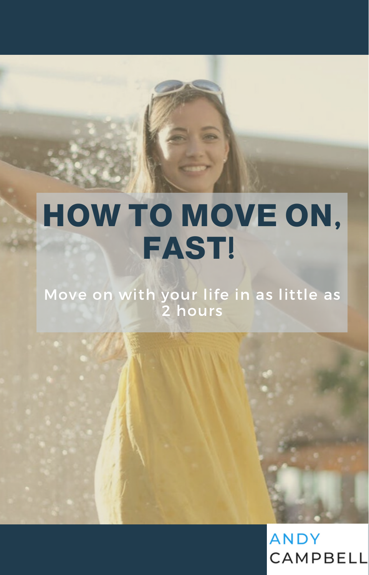# **HOW TO MOVE ON, FAST!**

Move on with your life in as little as 2 hours

> **ANDY** CAMPBELL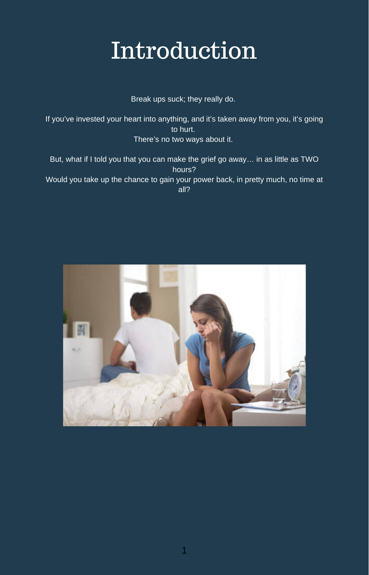# Introduction

Break ups suck; they really do.

If you've invested your heart into anything, and it's taken away from you, it's going to hurt. There's no two ways about it.

But, what if I told you that you can make the grief go away… in as little as TWO hours? Would you take up the chance to gain your power back, in pretty much, no time at all?

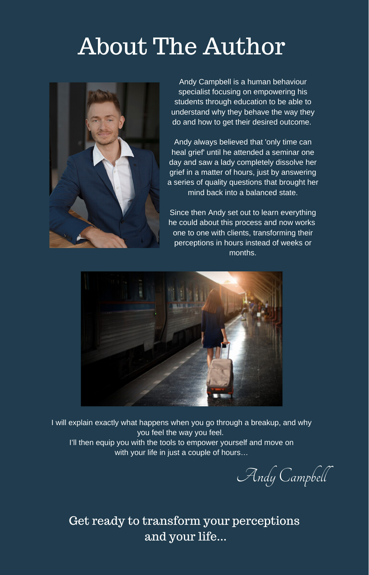# About The Author



Andy Campbell is a human behaviour specialist focusing on empowering his students through education to be able to understand why they behave the way they do and how to get their desired outcome.

Andy always believed that 'only time can heal grief' until he attended a seminar one day and saw a lady completely dissolve her grief in a matter of hours, just by answering a series of quality questions that brought her mind back into a balanced state.

Since then Andy set out to learn everything he could about this process and now works one to one with clients, transforming their perceptions in hours instead of weeks or months.



I will explain exactly what happens when you go through a breakup, and why you feel the way you feel. I'll then equip you with the tools to empower yourself and move on with your life in just a couple of hours…

Andy Campbell

Get ready to transform your perceptions and your life...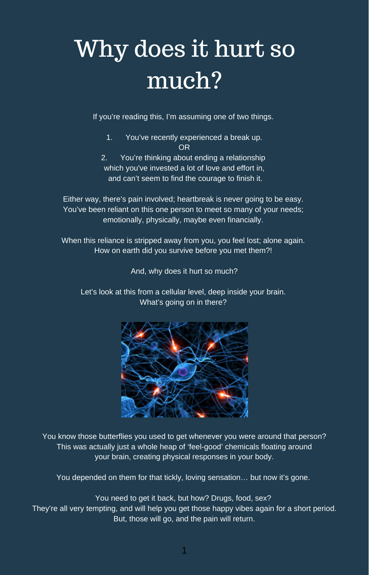# Why does it hurt so much?

If you're reading this, I'm assuming one of two things.

- 1. You've recently experienced a break up. OR
- 2. You're thinking about ending a relationship which you've invested a lot of love and effort in. and can't seem to find the courage to finish it.

Either way, there's pain involved; heartbreak is never going to be easy. You've been reliant on this one person to meet so many of your needs; emotionally, physically, maybe even financially.

When this reliance is stripped away from you, you feel lost; alone again. How on earth did you survive before you met them?!

And, why does it hurt so much?

Let's look at this from a cellular level, deep inside your brain. What's going on in there?



You know those butterflies you used to get whenever you were around that person? This was actually just a whole heap of 'feel-good' chemicals floating around your brain, creating physical responses in your body.

You depended on them for that tickly, loving sensation… but now it's gone.

You need to get it back, but how? Drugs, food, sex? They're all very tempting, and will help you get those happy vibes again for a short period. But, those will go, and the pain will return.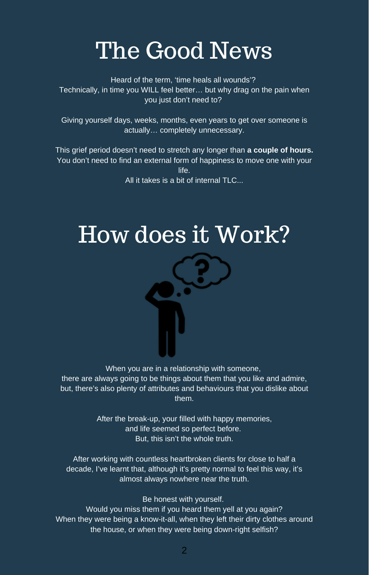### The Good News

Heard of the term, 'time heals all wounds'? Technically, in time you WILL feel better… but why drag on the pain when you just don't need to?

Giving yourself days, weeks, months, even years to get over someone is actually… completely unnecessary.

This grief period doesn't need to stretch any longer than **a couple of hours.** You don't need to find an external form of happiness to move one with your life.

All it takes is a bit of internal TLC.

## How does it Work?



When you are in a relationship with someone. there are always going to be things about them that you like and admire,

but, there's also plenty of attributes and behaviours that you dislike about them.

> After the break-up, your filled with happy memories, and life seemed so perfect before. But, this isn't the whole truth.

After working with countless heartbroken clients for close to half a decade, I've learnt that, although it's pretty normal to feel this way, it's almost always nowhere near the truth.

Be honest with yourself.

Would you miss them if you heard them yell at you again? When they were being a know-it-all, when they left their dirty clothes around the house, or when they were being down-right selfish?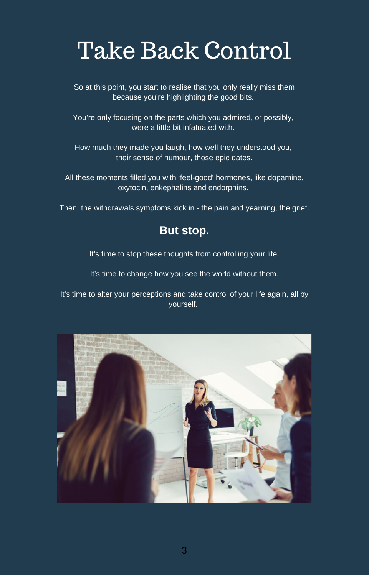# Take Back Control

So at this point, you start to realise that you only really miss them because you're highlighting the good bits.

You're only focusing on the parts which you admired, or possibly, were a little bit infatuated with.

How much they made you laugh, how well they understood you, their sense of humour, those epic dates.

All these moments filled you with 'feel-good' hormones, like dopamine, oxytocin, enkephalins and endorphins.

Then, the withdrawals symptoms kick in - the pain and yearning, the grief.

#### **But stop.**

It's time to stop these thoughts from controlling your life.

It's time to change how you see the world without them.

It's time to alter your perceptions and take control of your life again, all by yourself.

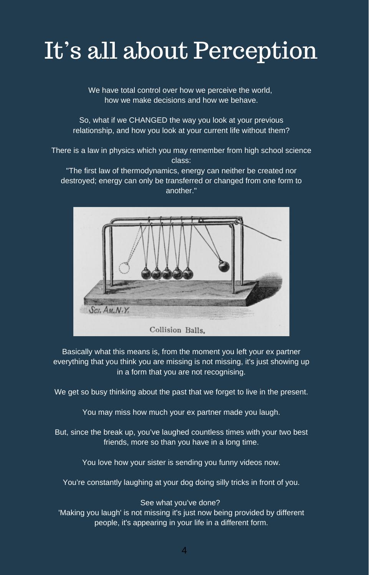# It's all about Perception

We have total control over how we perceive the world, how we make decisions and how we behave.

So, what if we CHANGED the way you look at your previous relationship, and how you look at your current life without them?

There is a law in physics which you may remember from high school science class:

"The first law of thermodynamics, energy can neither be created nor destroyed; energy can only be transferred or changed from one form to another."



Basically what this means is, from the moment you left your ex partner everything that you think you are missing is not missing, it's just showing up in a form that you are not recognising.

We get so busy thinking about the past that we forget to live in the present.

You may miss how much your ex partner made you laugh.

But, since the break up, you've laughed countless times with your two best friends, more so than you have in a long time.

You love how your sister is sending you funny videos now.

You're constantly laughing at your dog doing silly tricks in front of you.

See what you've done?

'Making you laugh' is not missing it's just now being provided by different people, it's appearing in your life in a different form.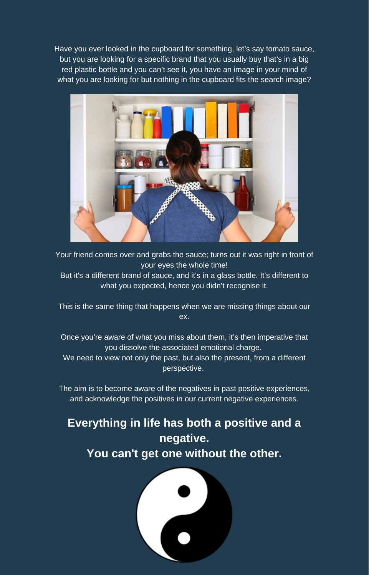Have you ever looked in the cupboard for something, let's say tomato sauce, but you are looking for a specific brand that you usually buy that's in a big red plastic bottle and you can't see it, you have an image in your mind of what you are looking for but nothing in the cupboard fits the search image?



Your friend comes over and grabs the sauce; turns out it was right in front of your eyes the whole time!

But it's a different brand of sauce, and it's in a glass bottle. It's different to what you expected, hence you didn't recognise it.

This is the same thing that happens when we are missing things about our ex.

Once you're aware of what you miss about them, it's then imperative that you dissolve the associated emotional charge.

We need to view not only the past, but also the present, from a different perspective.

The aim is to become aware of the negatives in past positive experiences, and acknowledge the positives in our current negative experiences.

### **Everything in life has both a positive and a negative. You can't get one without the other.**

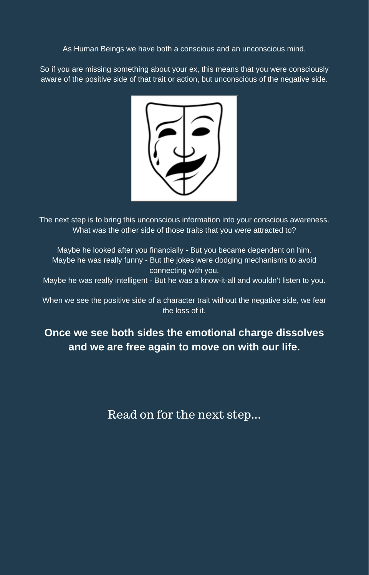As Human Beings we have both a conscious and an unconscious mind.

So if you are missing something about your ex, this means that you were consciously aware of the positive side of that trait or action, but unconscious of the negative side.



The next step is to bring this unconscious information into your conscious awareness. What was the other side of those traits that you were attracted to?

Maybe he looked after you financially - But you became dependent on him. Maybe he was really funny - But the jokes were dodging mechanisms to avoid connecting with you.

Maybe he was really intelligent - But he was a know-it-all and wouldn't listen to you.

When we see the positive side of a character trait without the negative side, we fear the loss of it.

**Once we see both sides the emotional charge dissolves and we are free again to move on with our life.**

Read on for the next step...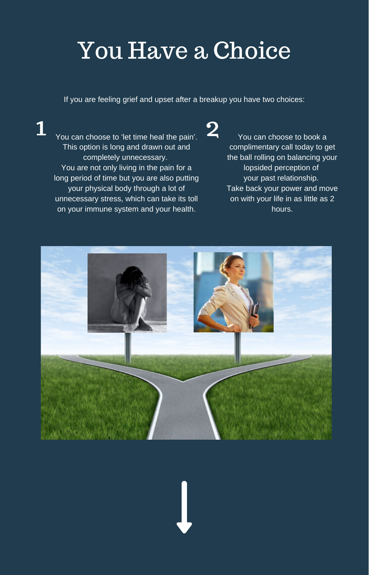# You Have a Choice

If you are feeling grief and upset after a breakup you have two choices:

1 You can choose to 'let time heal the pain'. <br>You can choose to book a This option is long and drawn out and completely unnecessary. You are not only living in the pain for a long period of time but you are also putting your physical body through a lot of unnecessary stress, which can take its toll on your immune system and your health.

complimentary call today to get the ball rolling on balancing your lopsided perception of your past relationship. Take back your power and move on with your life in as little as 2 hours.